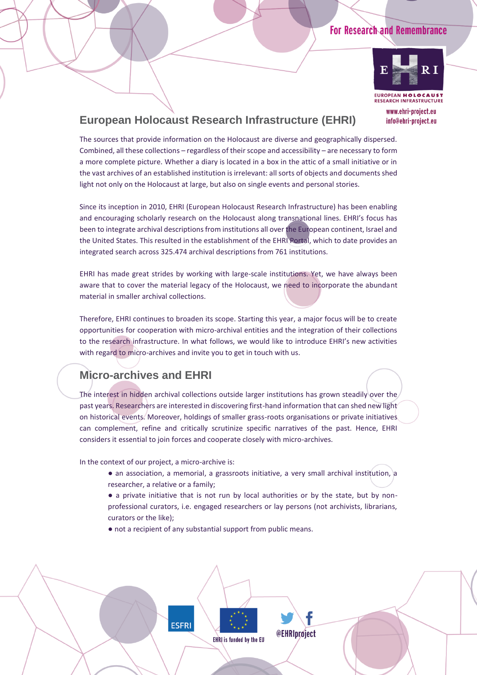### **For Research and Remembrance**



www.ehri-project.eu info@ehri-project.eu

**European Holocaust Research Infrastructure (EHRI)**

The sources that provide information on the Holocaust are diverse and geographically dispersed. Combined, all these collections – regardless of their scope and accessibility – are necessary to form a more complete picture. Whether a diary is located in a box in the attic of a small initiative or in the vast archives of an established institution is irrelevant: all sorts of objects and documents shed light not only on the Holocaust at large, but also on single events and personal stories.

Since its inception in 2010, EHRI (European Holocaust Research Infrastructure) has been enabling and encouraging scholarly research on the Holocaust along transnational lines. EHRI's focus has been to integrate archival descriptions from institutions all over the European continent, Israel and the United States. This resulted in the establishment of the EHRI Portal, which to date provides an integrated search across 325.474 archival descriptions from 761 institutions.

EHRI has made great strides by working with large-scale institutions. Yet, we have always been aware that to cover the material legacy of the Holocaust, we need to incorporate the abundant material in smaller archival collections.

Therefore, EHRI continues to broaden its scope. Starting this year, a major focus will be to create opportunities for cooperation with micro-archival entities and the integration of their collections to the research infrastructure. In what follows, we would like to introduce EHRI's new activities with regard to micro-archives and invite you to get in touch with us.

# **Micro-archives and EHRI**

The interest in hidden archival collections outside larger institutions has grown steadily over the past years. Researchers are interested in discovering first-hand information that can shed new light on historical events. Moreover, holdings of smaller grass-roots organisations or private initiatives can complement, refine and critically scrutinize specific narratives of the past. Hence, EHRI considers it essential to join forces and cooperate closely with micro-archives.

In the context of our project, a micro-archive is:

- an association, a memorial, a grassroots initiative, a very small archival institution, a researcher, a relative or a family;
- a private initiative that is not run by local authorities or by the state, but by nonprofessional curators, i.e. engaged researchers or lay persons (not archivists, librarians, curators or the like);
- not a recipient of any substantial support from public means.

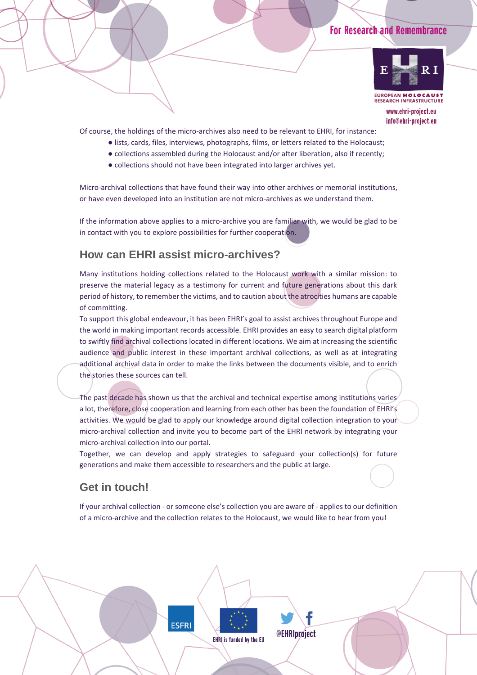### **For Research and Remembrance**



www.ehri-project.eu info@ehri-project.eu

Of course, the holdings of the micro-archives also need to be relevant to EHRI, for instance:

- lists, cards, files, interviews, photographs, films, or letters related to the Holocaust;
- collections assembled during the Holocaust and/or after liberation, also if recently;
- collections should not have been integrated into larger archives yet.

Micro-archival collections that have found their way into other archives or memorial institutions, or have even developed into an institution are not micro-archives as we understand them.

If the information above applies to a micro-archive you are familiar with, we would be glad to be in contact with you to explore possibilities for further cooperation.

### **How can EHRI assist micro-archives?**

Many institutions holding collections related to the Holocaust work with a similar mission: to preserve the material legacy as a testimony for current and future generations about this dark period of history, to remember the victims, and to caution about the atrocities humans are capable of committing.

To support this global endeavour, it has been EHRI's goal to assist archives throughout Europe and the world in making important records accessible. EHRI provides an easy to search digital platform to swiftly find archival collections located in different locations. We aim at increasing the scientific audience and public interest in these important archival collections, as well as at integrating additional archival data in order to make the links between the documents visible, and to enrich the stories these sources can tell.

The past decade has shown us that the archival and technical expertise among institutions varies a lot, therefore, close cooperation and learning from each other has been the foundation of EHRI's activities. We would be glad to apply our knowledge around digital collection integration to your micro-archival collection and invite you to become part of the EHRI network by integrating your micro-archival collection into our portal.

Together, we can develop and apply strategies to safeguard your collection(s) for future generations and make them accessible to researchers and the public at large.

#### **Get in touch!**

If your archival collection - or someone else's collection you are aware of - applies to our definition of a micro-archive and the collection relates to the Holocaust, we would like to hear from you!